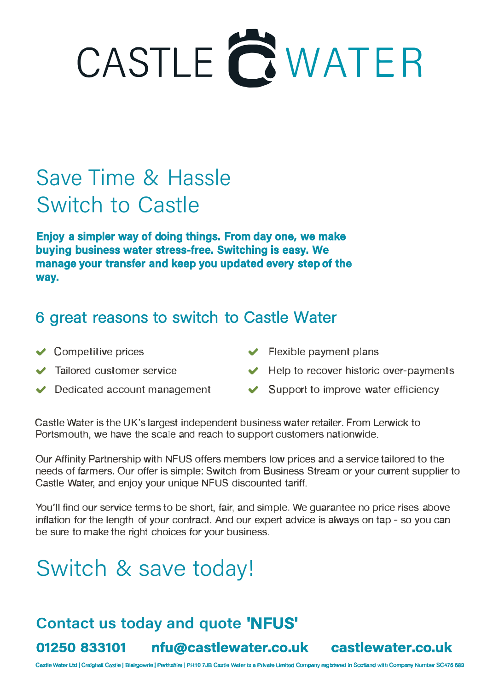# CASTLE **C** WATER

### Save Time & Hassle Switch to Castle

**Enjoy a simpler way of doing things. From day one, we make buying business water stress-free. Switching is easy. We manage your transfer and keep you updated every step of the way.** 

#### 6 great reasons to switch to Castle Water

- **↓** Competitive prices
- **◆** Tailored customer service
- $\vee$  Dedicated account management
- $\blacktriangleright$  Flexible payment plans
- ◆ Help to recover historic over-payments
- $\blacktriangleright$  Support to improve water efficiency

Castle Water is the UK's largest independent business water retailer. From Lerwick to Portsmouth, we have the scale and reach to support customers nationwide.

Our Affinity Partnership with NFUS offers members low prices and a service tailored to the needs of farmers. Our offer is simple: Switch from Business Stream or your current supplier to Castle Water, and enjoy your unique NFUS discounted tariff.

You'll find our service terms to be short, fair, and simple. We guarantee no price rises above inflation for the length of your contract. And our expert advice is always on tap - so you can be sure to make the right choices for your business.

## Switch & save today!

#### **Contact us today and quote 'NFUS'**

**01250 833101 nfu@castlewater.co.uk castlewater.co.uk**

Castle Water Ltd | Craighall Castle | Blairgowrie | Perthshire | PH10 7JB Castle Water is a Private Limited Company registered in Scotland with Company Number SC476 683